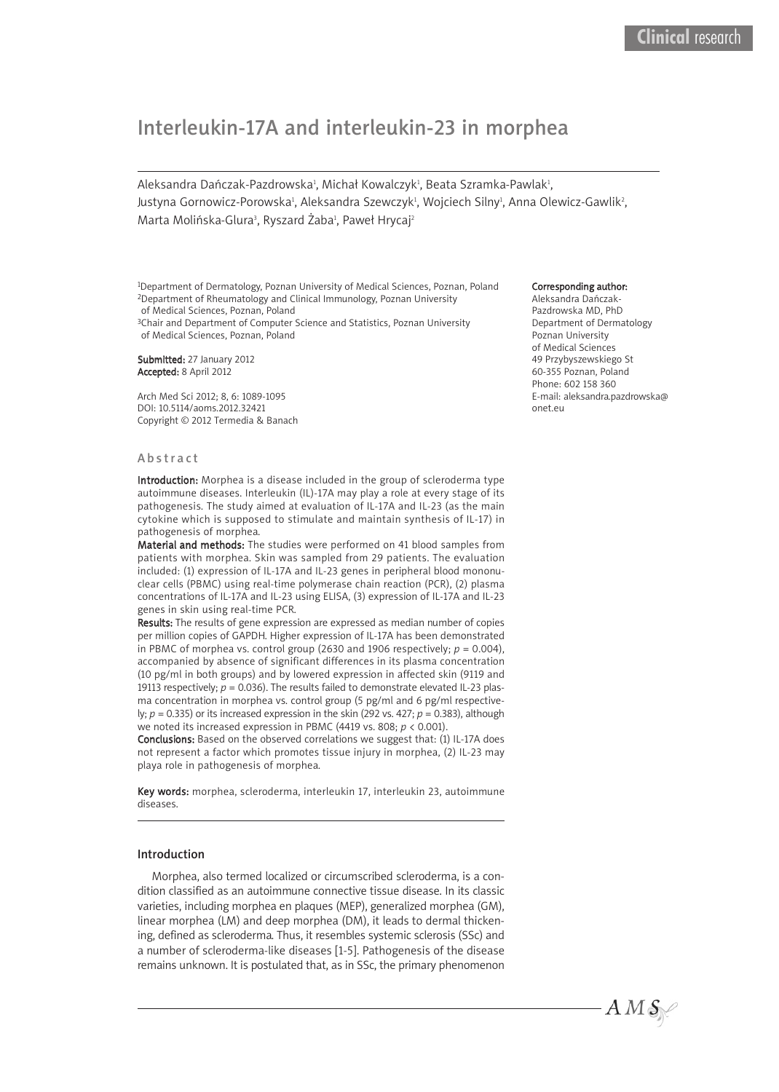# Interleukin-17A and interleukin-23 in morphea

Aleksandra Dańczak-Pazdrowska<del>'</del>, Michał Kowalczyk<del>'</del>, Beata Szramka-Pawlak<del>'</del>, Justyna Gornowicz-Porowska<sup>ı</sup>, Aleksandra Szewczyk<sup>ı</sup>, Wojciech Silny<sup>ı</sup>, Anna Olewicz-Gawlik<sup>2</sup>, Marta Molińska-Glura<sup>3</sup>, Ryszard Żaba<sup>1</sup>, Paweł Hrycaj<sup>2</sup>

1Department of Dermatology, Poznan University of Medical Sciences, Poznan, Poland 2Department of Rheumatology and Clinical Immunology, Poznan University of Medical Sciences, Poznan, Poland

<sup>3</sup>Chair and Department of Computer Science and Statistics, Poznan University of Medical Sciences, Poznan, Poland

Submitted: 27 January 2012 Accepted: 8 April 2012

Arch Med Sci 2012; 8, 6: 1089-1095 DOI: 10.5114/aoms.2012.32421 Copyright © 2012 Termedia & Banach

#### **Abstract**

Introduction: Morphea is a disease included in the group of scleroderma type autoimmune diseases. Interleukin (IL)-17A may play a role at every stage of its pathogenesis. The study aimed at evaluation of IL-17A and IL-23 (as the main cytokine which is supposed to stimulate and maintain synthesis of IL-17) in pathogenesis of morphea.

Material and methods: The studies were performed on 41 blood samples from patients with morphea. Skin was sampled from 29 patients. The evaluation included: (1) expression of IL-17A and IL-23 genes in peripheral blood mononuclear cells (PBMC) using real-time polymerase chain reaction (PCR), (2) plasma concentrations of IL-17A and IL-23 using ELISA, (3) expression of IL-17A and IL-23 genes in skin using real-time PCR.

Results: The results of gene expression are expressed as median number of copies per million copies of GAPDH. Higher expression of IL-17A has been demonstrated in PBMC of morphea vs. control group (2630 and 1906 respectively;  $p = 0.004$ ), accompanied by absence of significant differences in its plasma concentration (10 pg/ml in both groups) and by lowered expression in affected skin (9119 and 19113 respectively;  $p = 0.036$ ). The results failed to demonstrate elevated IL-23 plasma concentration in morphea vs. control group (5 pg/ml and 6 pg/ml respectively; *p* = 0.335) or its increased expression in the skin (292 vs. 427; *p* = 0.383), although we noted its increased expression in PBMC (4419 vs. 808; *p* < 0.001).

Conclusions: Based on the observed correlations we suggest that: (1) IL-17A does not represent a factor which promotes tissue injury in morphea, (2) IL-23 may playa role in pathogenesis of morphea.

Key words: morphea, scleroderma, interleukin 17, interleukin 23, autoimmune diseases.

## Introduction

Morphea, also termed localized or circumscribed scleroderma, is a condition classified as an autoimmune connective tissue disease. In its classic varieties, including morphea en plaques (MEP), generalized morphea (GM), linear morphea (LM) and deep morphea (DM), it leads to dermal thickening, defined as scleroderma. Thus, it resembles systemic sclerosis (SSc) and a number of scleroderma-like diseases [1-5]. Pathogenesis of the disease remains unknown. It is postulated that, as in SSc, the primary phenomenon

#### Corresponding author:

Aleksandra Dańczak-Pazdrowska MD, PhD Department of Dermatology Poznan University of Medical Sciences 49 Przybyszewskiego St 60-355 Poznan, Poland Phone: 602 158 360 E-mail: aleksandra.pazdrowska@ onet.eu

 $AMS_{\odot}$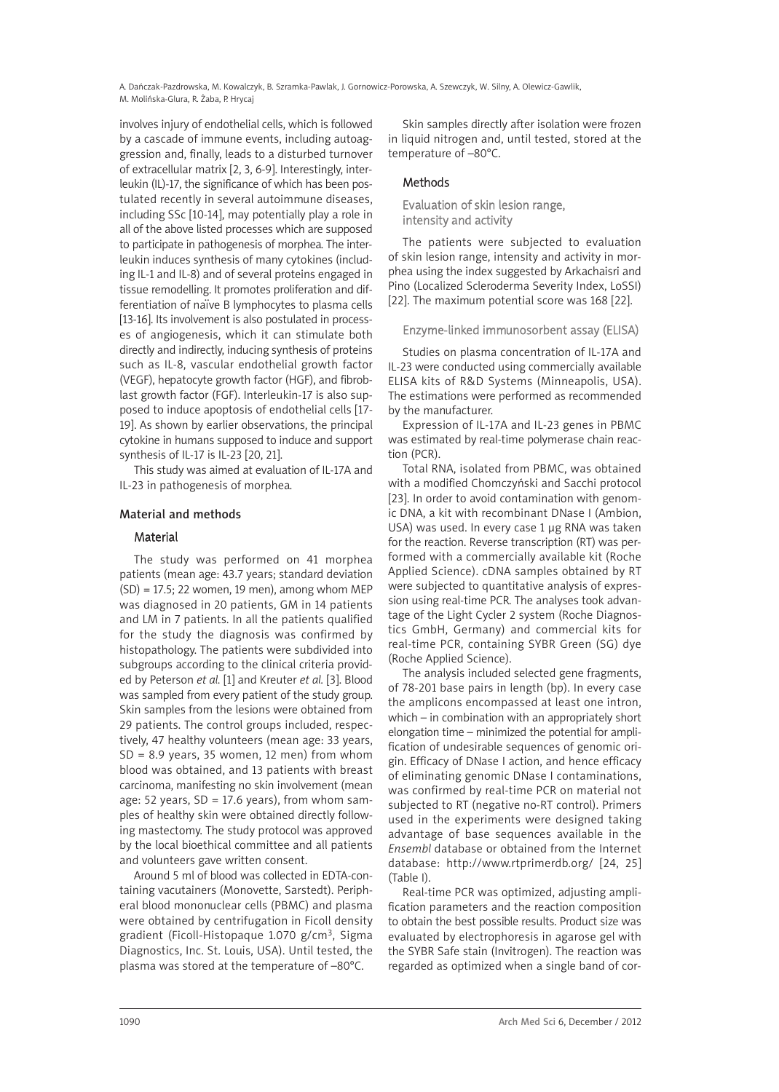A. Dańczak-Pazdrowska, M. Kowalczyk, B. Szramka-Pawlak, J. Gornowicz-Porowska, A. Szewczyk, W. Silny, A. Olewicz-Gawlik, M. Molińska-Glura, R. Żaba, P. Hrycaj

involves injury of endothelial cells, which is followed by a cascade of immune events, including autoaggression and, finally, leads to a disturbed turnover of extracellular matrix [2, 3, 6-9]. Interestingly, interleukin (IL)-17, the significance of which has been postulated recently in several autoimmune diseases, including SSc [10-14], may potentially play a role in all of the above listed processes which are supposed to participate in pathogenesis of morphea. The interleukin induces synthesis of many cytokines (including IL-1 and IL-8) and of several proteins engaged in tissue remodelling. It promotes proliferation and difdesigned considering. It promotes prometation and all<br>ferentiation of naïve B lymphocytes to plasma cells [13-16]. Its involvement is also postulated in processes of angiogenesis, which it can stimulate both directly and indirectly, inducing synthesis of proteins such as IL-8, vascular endothelial growth factor (VEGF), hepatocyte growth factor (HGF), and fibroblast growth factor (FGF). Interleukin-17 is also supposed to induce apoptosis of endothelial cells [17- 19]. As shown by earlier observations, the principal cytokine in humans supposed to induce and support synthesis of IL-17 is IL-23 [20, 21].

This study was aimed at evaluation of IL-17A and IL-23 in pathogenesis of morphea.

# Material and methods

#### Material

The study was performed on 41 morphea patients (mean age: 43.7 years; standard deviation (SD) = 17.5; 22 women, 19 men), among whom MEP was diagnosed in 20 patients, GM in 14 patients and LM in 7 patients. In all the patients qualified for the study the diagnosis was confirmed by histopathology. The patients were subdivided into subgroups according to the clinical criteria provided by Peterson *et al.* [1] and Kreuter *et al.* [3]. Blood was sampled from every patient of the study group. Skin samples from the lesions were obtained from 29 patients. The control groups included, respectively, 47 healthy volunteers (mean age: 33 years,  $SD = 8.9$  years, 35 women, 12 men) from whom blood was obtained, and 13 patients with breast carcinoma, manifesting no skin involvement (mean age: 52 years,  $SD = 17.6$  years), from whom samples of healthy skin were obtained directly following mastectomy. The study protocol was approved by the local bioethical committee and all patients and volunteers gave written consent.

Around 5 ml of blood was collected in EDTA-containing vacutainers (Monovette, Sarstedt). Peripheral blood mononuclear cells (PBMC) and plasma were obtained by centrifugation in Ficoll density gradient (Ficoll-Histopaque 1.070 g/cm3, Sigma Diagnostics, Inc. St. Louis, USA). Until tested, the plasma was stored at the temperature of –80°C.

Skin samples directly after isolation were frozen in liquid nitrogen and, until tested, stored at the temperature of –80°C.

# Methods

# Evaluation of skin lesion range, intensity and activity

The patients were subjected to evaluation of skin lesion range, intensity and activity in morphea using the index suggested by Arkachaisri and Pino (Localized Scleroderma Severity Index, LoSSI) [22]. The maximum potential score was 168 [22].

# Enzyme-linked immunosorbent assay (ELISA)

Studies on plasma concentration of IL-17A and IL-23 were conducted using commercially available ELISA kits of R&D Systems (Minneapolis, USA). The estimations were performed as recommended by the manufacturer.

Expression of IL-17A and IL-23 genes in PBMC was estimated by real-time polymerase chain reaction (PCR).

Total RNA, isolated from PBMC, was obtained with a modified Chomczyński and Sacchi protocol [23]. In order to avoid contamination with genomic DNA, a kit with recombinant DNase I (Ambion, USA) was used. In every case 1 µg RNA was taken for the reaction. Reverse transcription (RT) was performed with a commercially available kit (Roche Applied Science). cDNA samples obtained by RT were subjected to quantitative analysis of expression using real-time PCR. The analyses took advantage of the Light Cycler 2 system (Roche Diagnostics GmbH, Germany) and commercial kits for real-time PCR, containing SYBR Green (SG) dye (Roche Applied Science).

The analysis included selected gene fragments, of 78-201 base pairs in length (bp). In every case the amplicons encompassed at least one intron, which – in combination with an appropriately short elongation time – minimized the potential for amplification of undesirable sequences of genomic origin. Efficacy of DNase I action, and hence efficacy of eliminating genomic DNase I contaminations, was confirmed by real-time PCR on material not subjected to RT (negative no-RT control). Primers used in the experiments were designed taking advantage of base sequences available in the *Ensembl* database or obtained from the Internet database: http://www.rtprimerdb.org/ [24, 25] (Table I).

Real-time PCR was optimized, adjusting amplification parameters and the reaction composition to obtain the best possible results. Product size was evaluated by electrophoresis in agarose gel with the SYBR Safe stain (Invitrogen). The reaction was regarded as optimized when a single band of cor-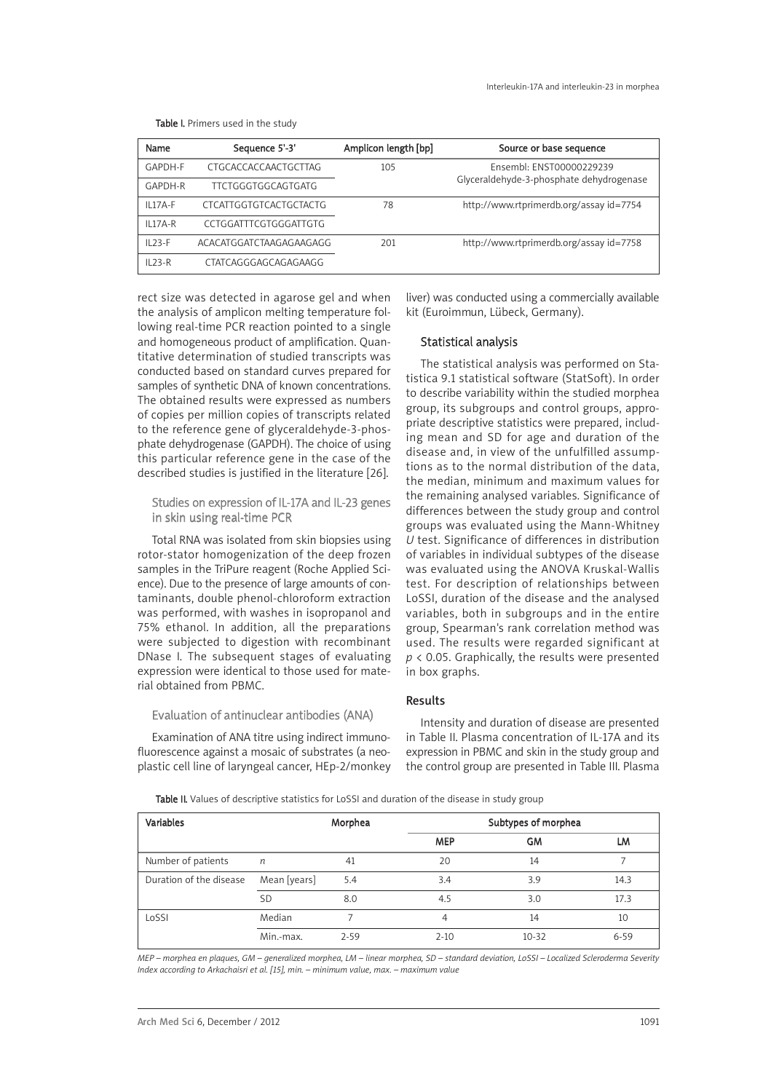| Name      | Sequence 5'-3'                | Amplicon length [bp] | Source or base sequence                  |
|-----------|-------------------------------|----------------------|------------------------------------------|
| GAPDH-F   | CTGCACCACCAACTGCTTAG          | 105                  | Ensembl: ENST00000229239                 |
| GAPDH-R   | <b>TTCTGGGTGGCAGTGATG</b>     |                      | Glyceraldehyde-3-phosphate dehydrogenase |
| IL17A-F   | <b>CTCATTGGTGTCACTGCTACTG</b> | 78                   | http://www.rtprimerdb.org/assay id=7754  |
| $IL17A-R$ | CCTGGATTTCGTGGGATTGTG         |                      |                                          |
| $IL23-F$  | ACACATGGATCTAAGAGAAGAGG       | 201                  | http://www.rtprimerdb.org/assay id=7758  |
| $IL23-R$  | CTATCAGGGAGCAGAGAAGG          |                      |                                          |

Table I. Primers used in the study

rect size was detected in agarose gel and when the analysis of amplicon melting temperature following real-time PCR reaction pointed to a single and homogeneous product of amplification. Quantitative determination of studied transcripts was conducted based on standard curves prepared for samples of synthetic DNA of known concentrations. The obtained results were expressed as numbers of copies per million copies of transcripts related to the reference gene of glyceraldehyde-3-phosphate dehydrogenase (GAPDH). The choice of using this particular reference gene in the case of the described studies is justified in the literature [26].

Studies on expression of IL-17A and IL-23 genes in skin using real-time PCR

Total RNA was isolated from skin biopsies using rotor-stator homogenization of the deep frozen samples in the TriPure reagent (Roche Applied Science). Due to the presence of large amounts of contaminants, double phenol-chloroform extraction was performed, with washes in isopropanol and 75% ethanol. In addition, all the preparations were subjected to digestion with recombinant DNase I. The subsequent stages of evaluating expression were identical to those used for material obtained from PBMC.

Evaluation of antinuclear antibodies (ANA)

Examination of ANA titre using indirect immunofluorescence against a mosaic of substrates (a neoplastic cell line of laryngeal cancer, HEp-2/monkey

liver) was conducted using a commercially available kit (Euroimmun, Lübeck, Germany).

# Statistical analysis

The statistical analysis was performed on Statistica 9.1 statistical software (StatSoft). In order to describe variability within the studied morphea group, its subgroups and control groups, appropriate descriptive statistics were prepared, including mean and SD for age and duration of the disease and, in view of the unfulfilled assumptions as to the normal distribution of the data, the median, minimum and maximum values for the remaining analysed variables. Significance of differences between the study group and control groups was evaluated using the Mann-Whitney *U* test. Significance of differences in distribution of variables in individual subtypes of the disease was evaluated using the ANOVA Kruskal-Wallis test. For description of relationships between LoSSI, duration of the disease and the analysed variables, both in subgroups and in the entire group, Spearman's rank correlation method was used. The results were regarded significant at *p* < 0.05. Graphically, the results were presented in box graphs.

#### Results

Intensity and duration of disease are presented in Table II. Plasma concentration of IL-17A and its expression in PBMC and skin in the study group and the control group are presented in Table III. Plasma

Table II. Values of descriptive statistics for LoSSI and duration of the disease in study group

| <b>Variables</b>        |              | Morphea  |            | Subtypes of morphea |          |  |
|-------------------------|--------------|----------|------------|---------------------|----------|--|
|                         |              |          | <b>MEP</b> | <b>GM</b>           | LM       |  |
| Number of patients      | n            | 41       | 20         | 14                  |          |  |
| Duration of the disease | Mean [years] | 5.4      | 3.4        | 3.9                 | 14.3     |  |
|                         | <b>SD</b>    | 8.0      | 4.5        | 3.0                 | 17.3     |  |
| LoSSI                   | Median       |          | 4          | 14                  | 10       |  |
|                         | Min.-max.    | $2 - 59$ | $2 - 10$   | $10 - 32$           | $6 - 59$ |  |

MEP - morphea en plaques, GM - generalized morphea, LM - linear morphea, SD - standard deviation, LoSSI - Localized Scleroderma Severity *Index according to Arkachaisri et al. [15], min. – minimum value, max. – maximum value*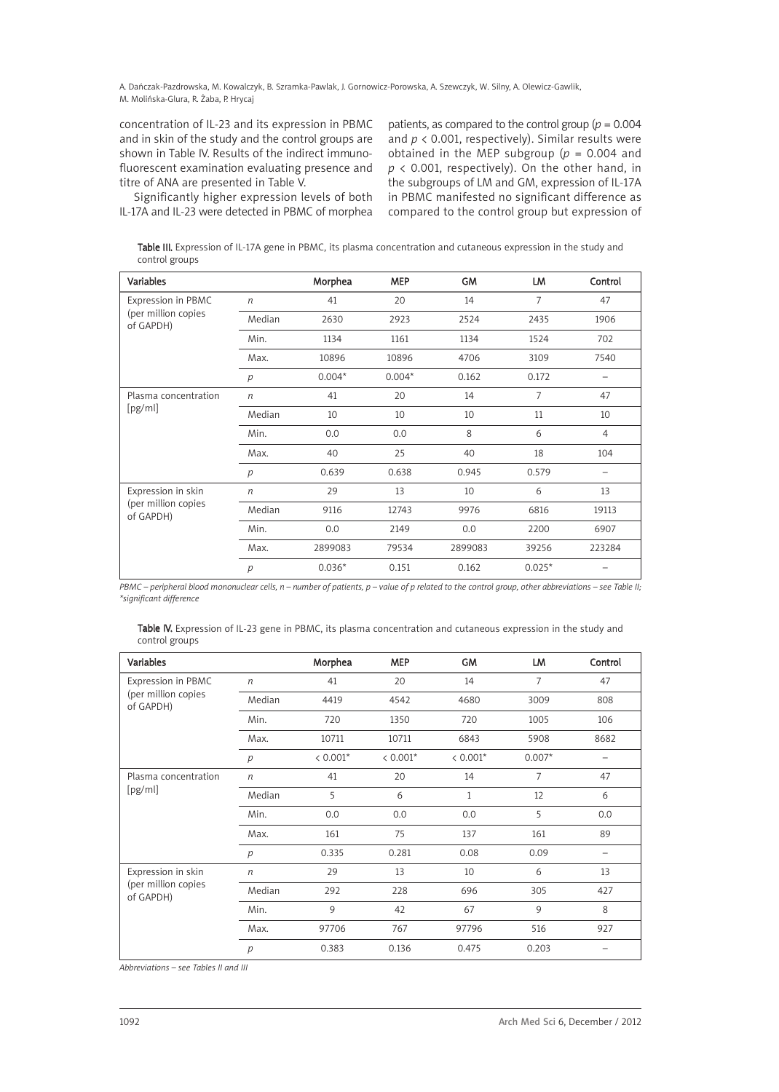A. Dańczak-Pazdrowska, M. Kowalczyk, B. Szramka-Pawlak, J. Gornowicz-Porowska, A. Szewczyk, W. Silny, A. Olewicz-Gawlik, M. Molińska-Glura, R. Żaba, P. Hrycaj

concentration of IL-23 and its expression in PBMC and in skin of the study and the control groups are shown in Table IV. Results of the indirect immunofluorescent examination evaluating presence and titre of ANA are presented in Table V.

Significantly higher expression levels of both IL-17A and IL-23 were detected in PBMC of morphea patients, as compared to the control group (*p* = 0.004 and *p* < 0.001, respectively). Similar results were obtained in the MEP subgroup (*p* = 0.004 and *p* < 0.001, respectively). On the other hand, in the subgroups of LM and GM, expression of IL-17A in PBMC manifested no significant difference as compared to the control group but expression of

Table III. Expression of IL-17A gene in PBMC, its plasma concentration and cutaneous expression in the study and control groups

| <b>Variables</b>                 |                  | Morphea  | <b>MEP</b> | <b>GM</b> | LM             | Control        |
|----------------------------------|------------------|----------|------------|-----------|----------------|----------------|
| Expression in PBMC               | $\eta$           | 41       | 20         | 14        | $\overline{7}$ | 47             |
| (per million copies<br>of GAPDH) | Median           | 2630     | 2923       | 2524      | 2435           | 1906           |
|                                  | Min.             | 1134     | 1161       | 1134      | 1524           | 702            |
|                                  | Max.             | 10896    | 10896      | 4706      | 3109           | 7540           |
|                                  | p                | $0.004*$ | $0.004*$   | 0.162     | 0.172          |                |
| Plasma concentration             | $\boldsymbol{n}$ | 41       | 20         | 14        | $\overline{7}$ | 47             |
| [pg/ml]                          | Median           | 10       | 10         | 10        | 11             | 10             |
|                                  | Min.             | 0.0      | 0.0        | 8         | 6              | $\overline{4}$ |
|                                  | Max.             | 40       | 25         | 40        | 18             | 104            |
|                                  | p                | 0.639    | 0.638      | 0.945     | 0.579          | -              |
| Expression in skin               | $\sqrt{n}$       | 29       | 13         | 10        | 6              | 13             |
| (per million copies<br>of GAPDH) | Median           | 9116     | 12743      | 9976      | 6816           | 19113          |
|                                  | Min.             | 0.0      | 2149       | 0.0       | 2200           | 6907           |
|                                  | Max.             | 2899083  | 79534      | 2899083   | 39256          | 223284         |
|                                  | $\overline{p}$   | $0.036*$ | 0.151      | 0.162     | $0.025*$       |                |

PBMC - peripheral blood mononuclear cells,  $n$  - number of patients,  $p$  - value of p related to the control group, other abbreviations - see Table II; *\*significant difference*

| Table IV. Expression of IL-23 gene in PBMC, its plasma concentration and cutaneous expression in the study and |  |  |  |
|----------------------------------------------------------------------------------------------------------------|--|--|--|
| control groups                                                                                                 |  |  |  |

| <b>Variables</b>                 |                  | Morphea    | <b>MEP</b> | <b>GM</b>  | LM             | Control |
|----------------------------------|------------------|------------|------------|------------|----------------|---------|
| Expression in PBMC               | $\boldsymbol{n}$ | 41         | 20         | 14         | 7              | 47      |
| (per million copies<br>of GAPDH) | Median           | 4419       | 4542       | 4680       | 3009           | 808     |
|                                  | Min.             | 720        | 1350       | 720        | 1005           | 106     |
|                                  | Max.             | 10711      | 10711      | 6843       | 5908           | 8682    |
|                                  | p                | $< 0.001*$ | $< 0.001*$ | $< 0.001*$ | $0.007*$       |         |
| Plasma concentration             | $\boldsymbol{n}$ | 41         | 20         | 14         | $\overline{7}$ | 47      |
| [pg/ml]                          | Median           | 5          | 6          | 1          | 12             | 6       |
|                                  | Min.             | 0.0        | 0.0        | 0.0        | 5              | 0.0     |
|                                  | Max.             | 161        | 75         | 137        | 161            | 89      |
|                                  | p                | 0.335      | 0.281      | 0.08       | 0.09           |         |
| Expression in skin               | $\boldsymbol{n}$ | 29         | 13         | 10         | 6              | 13      |
| (per million copies<br>of GAPDH) | Median           | 292        | 228        | 696        | 305            | 427     |
|                                  | Min.             | 9          | 42         | 67         | 9              | 8       |
|                                  | Max.             | 97706      | 767        | 97796      | 516            | 927     |
|                                  | $\overline{p}$   | 0.383      | 0.136      | 0.475      | 0.203          |         |

*Abbreviations – see Tables II and III*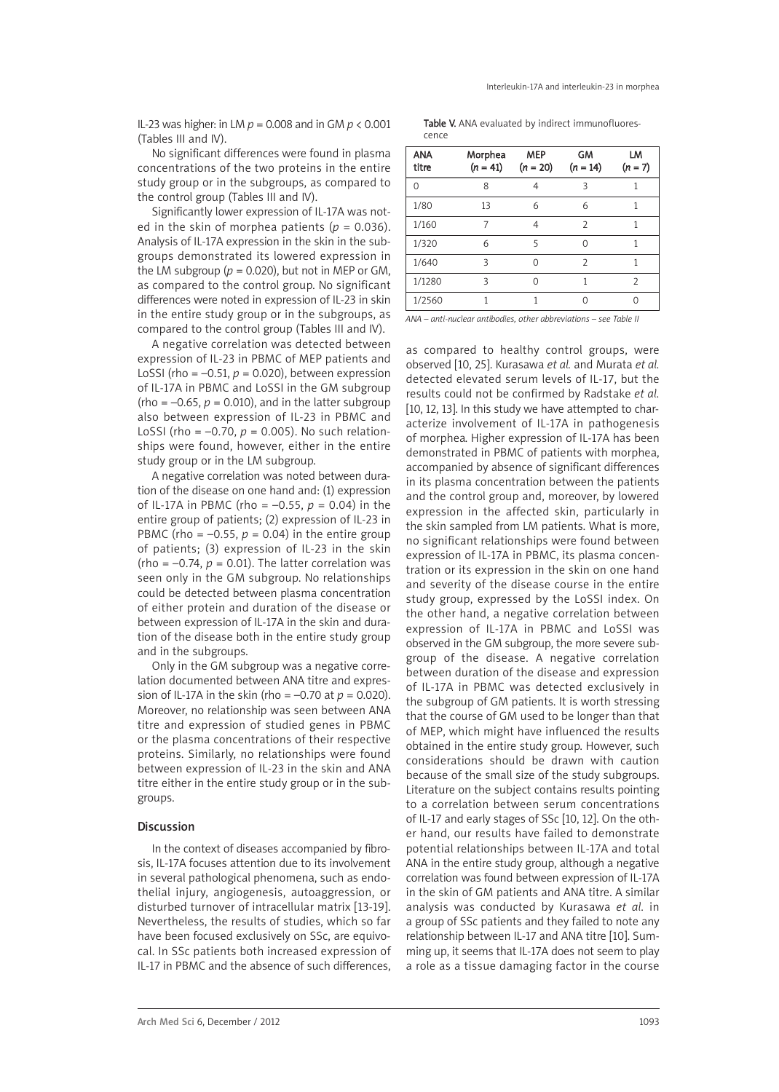IL-23 was higher: in LM *p* = 0.008 and in GM *p* < 0.001 (Tables III and IV).

No significant differences were found in plasma concentrations of the two proteins in the entire study group or in the subgroups, as compared to the control group (Tables III and IV).

Significantly lower expression of IL-17A was noted in the skin of morphea patients ( $p = 0.036$ ). Analysis of IL-17A expression in the skin in the subgroups demonstrated its lowered expression in the LM subgroup ( $p = 0.020$ ), but not in MEP or GM, as compared to the control group. No significant differences were noted in expression of IL-23 in skin in the entire study group or in the subgroups, as compared to the control group (Tables III and IV).

A negative correlation was detected between expression of IL-23 in PBMC of MEP patients and LoSSI (rho =  $-0.51$ ,  $p = 0.020$ ), between expression of IL-17A in PBMC and LoSSI in the GM subgroup (rho =  $-0.65$ ,  $p = 0.010$ ), and in the latter subgroup also between expression of IL-23 in PBMC and LoSSI (rho =  $-0.70$ ,  $p = 0.005$ ). No such relationships were found, however, either in the entire study group or in the LM subgroup.

A negative correlation was noted between duration of the disease on one hand and: (1) expression of IL-17A in PBMC (rho = –0.55, *p* = 0.04) in the entire group of patients; (2) expression of IL-23 in PBMC (rho =  $-0.55$ ,  $p = 0.04$ ) in the entire group of patients; (3) expression of IL-23 in the skin (rho =  $-0.74$ ,  $p = 0.01$ ). The latter correlation was seen only in the GM subgroup. No relationships could be detected between plasma concentration of either protein and duration of the disease or between expression of IL-17A in the skin and duration of the disease both in the entire study group and in the subgroups.

Only in the GM subgroup was a negative correlation documented between ANA titre and expression of IL-17A in the skin (rho =  $-0.70$  at  $p = 0.020$ ). Moreover, no relationship was seen between ANA titre and expression of studied genes in PBMC or the plasma concentrations of their respective proteins. Similarly, no relationships were found between expression of IL-23 in the skin and ANA titre either in the entire study group or in the subgroups.

#### Discussion

In the context of diseases accompanied by fibrosis, IL-17A focuses attention due to its involvement in several pathological phenomena, such as endothelial injury, angiogenesis, autoaggression, or disturbed turnover of intracellular matrix [13-19]. Nevertheless, the results of studies, which so far have been focused exclusively on SSc, are equivocal. In SSc patients both increased expression of IL-17 in PBMC and the absence of such differences,

Table V. ANA evaluated by indirect immunofluorescence

| <b>ANA</b><br>titre | Morphea<br>$(n = 41)$ | <b>MEP</b><br>$(n = 20)$ | GM<br>$(n = 14)$ | LM<br>$(n = 7)$ |
|---------------------|-----------------------|--------------------------|------------------|-----------------|
| ∩                   | 8                     | 4                        | ζ                |                 |
| 1/80                | 13                    | 6                        | 6                | 1               |
| 1/160               |                       | 4                        | $\overline{2}$   | 1               |
| 1/320               | 6                     | 5                        | Λ                | 1               |
| 1/640               | ς                     | ∩                        | $\mathcal{P}$    |                 |
| 1/1280              | ς                     | ∩                        | 1                | $\overline{2}$  |
| 1/2560              | 1                     | 1                        | Λ                |                 |

*ANA – anti-nuclear antibodies, other abbreviations – see Table II*

as compared to healthy control groups, were observed [10, 25]. Kurasawa *et al.* and Murata *et al.* detected elevated serum levels of IL-17, but the results could not be confirmed by Radstake *et al.* [10, 12, 13]. In this study we have attempted to characterize involvement of IL-17A in pathogenesis of morphea. Higher expression of IL-17A has been demonstrated in PBMC of patients with morphea, accompanied by absence of significant differences in its plasma concentration between the patients and the control group and, moreover, by lowered expression in the affected skin, particularly in the skin sampled from LM patients. What is more, no significant relationships were found between expression of IL-17A in PBMC, its plasma concentration or its expression in the skin on one hand and severity of the disease course in the entire study group, expressed by the LoSSI index. On the other hand, a negative correlation between expression of IL-17A in PBMC and LoSSI was observed in the GM subgroup, the more severe subgroup of the disease. A negative correlation between duration of the disease and expression of IL-17A in PBMC was detected exclusively in the subgroup of GM patients. It is worth stressing that the course of GM used to be longer than that of MEP, which might have influenced the results obtained in the entire study group. However, such considerations should be drawn with caution because of the small size of the study subgroups. Literature on the subject contains results pointing to a correlation between serum concentrations of IL-17 and early stages of SSc [10, 12]. On the other hand, our results have failed to demonstrate potential relationships between IL-17A and total ANA in the entire study group, although a negative correlation was found between expression of IL-17A in the skin of GM patients and ANA titre. A similar analysis was conducted by Kurasawa *et al.* in a group of SSc patients and they failed to note any relationship between IL-17 and ANA titre [10]. Summing up, it seems that IL-17A does not seem to play a role as a tissue damaging factor in the course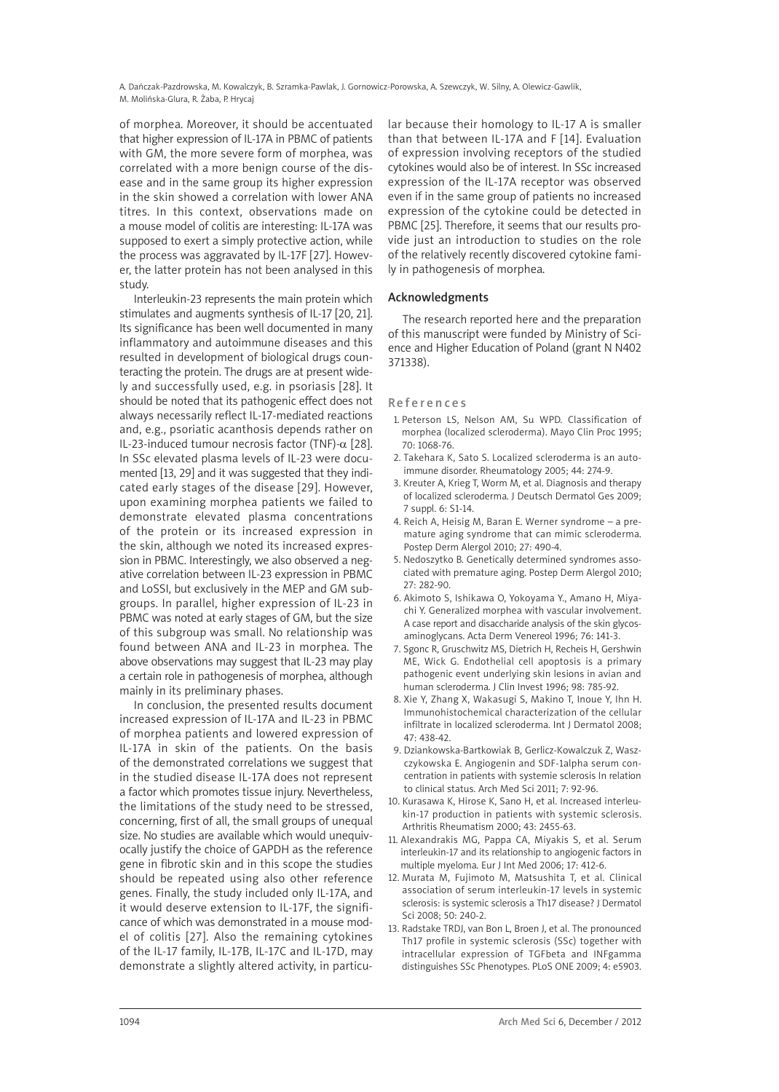A. Dańczak-Pazdrowska, M. Kowalczyk, B. Szramka-Pawlak, J. Gornowicz-Porowska, A. Szewczyk, W. Silny, A. Olewicz-Gawlik, M. Molińska-Glura, R. Żaba, P. Hrycaj

of morphea. Moreover, it should be accentuated that higher expression of IL-17A in PBMC of patients with GM, the more severe form of morphea, was correlated with a more benign course of the disease and in the same group its higher expression in the skin showed a correlation with lower ANA titres. In this context, observations made on a mouse model of colitis are interesting: IL-17A was supposed to exert a simply protective action, while the process was aggravated by IL-17F [27]. However, the latter protein has not been analysed in this study.

Interleukin-23 represents the main protein which stimulates and augments synthesis of IL-17 [20, 21]. Its significance has been well documented in many inflammatory and autoimmune diseases and this resulted in development of biological drugs counteracting the protein. The drugs are at present widely and successfully used, e.g. in psoriasis [28]. It should be noted that its pathogenic effect does not always necessarily reflect IL-17-mediated reactions and, e.g., psoriatic acanthosis depends rather on IL-23-induced tumour necrosis factor (TNF)-α [28]. In SSc elevated plasma levels of IL-23 were documented [13, 29] and it was suggested that they indicated early stages of the disease [29]. However, upon examining morphea patients we failed to demonstrate elevated plasma concentrations of the protein or its increased expression in the skin, although we noted its increased expression in PBMC. Interestingly, we also observed a negative correlation between IL-23 expression in PBMC and LoSSI, but exclusively in the MEP and GM subgroups. In parallel, higher expression of IL-23 in PBMC was noted at early stages of GM, but the size of this subgroup was small. No relationship was found between ANA and IL-23 in morphea. The above observations may suggest that IL-23 may play a certain role in pathogenesis of morphea, although mainly in its preliminary phases.

In conclusion, the presented results document increased expression of IL-17A and IL-23 in PBMC of morphea patients and lowered expression of IL-17A in skin of the patients. On the basis of the demonstrated correlations we suggest that in the studied disease IL-17A does not represent a factor which promotes tissue injury. Nevertheless, the limitations of the study need to be stressed, concerning, first of all, the small groups of unequal size. No studies are available which would unequivocally justify the choice of GAPDH as the reference gene in fibrotic skin and in this scope the studies should be repeated using also other reference genes. Finally, the study included only IL-17A, and it would deserve extension to IL-17F, the significance of which was demonstrated in a mouse model of colitis [27]. Also the remaining cytokines of the IL-17 family, IL-17B, IL-17C and IL-17D, may demonstrate a slightly altered activity, in particular because their homology to IL-17 A is smaller than that between IL-17A and F [14]. Evaluation of expression involving receptors of the studied cytokines would also be of interest. In SSc increased expression of the IL-17A receptor was observed even if in the same group of patients no increased expression of the cytokine could be detected in PBMC [25]. Therefore, it seems that our results provide just an introduction to studies on the role of the relatively recently discovered cytokine family in pathogenesis of morphea.

#### Acknowledgments

The research reported here and the preparation of this manuscript were funded by Ministry of Science and Higher Education of Poland (grant N N402 371338).

#### **References**

- 1. Peterson LS, Nelson AM, Su WPD. Classification of morphea (localized scleroderma). Mayo Clin Proc 1995; 70: 1068-76.
- 2. Takehara K, Sato S. Localized scleroderma is an autoimmune disorder. Rheumatology 2005; 44: 274-9.
- 3. Kreuter A, Krieg T, Worm M, et al. Diagnosis and therapy of localized scleroderma. J Deutsch Dermatol Ges 2009; 7 suppl. 6: S1-14.
- 4. Reich A, Heisig M, Baran E. Werner syndrome a premature aging syndrome that can mimic scleroderma. Postep Derm Alergol 2010; 27: 490-4.
- 5. Nedoszytko B. Genetically determined syndromes associated with premature aging. Postep Derm Alergol 2010; 27: 282-90.
- 6. Akimoto S, Ishikawa O, Yokoyama Y., Amano H, Miyachi Y. Generalized morphea with vascular involvement. A case report and disaccharide analysis of the skin glycosaminoglycans. Acta Derm Venereol 1996; 76: 141-3.
- 7. Sgonc R, Gruschwitz MS, Dietrich H, Recheis H, Gershwin ME, Wick G. Endothelial cell apoptosis is a primary pathogenic event underlying skin lesions in avian and human scleroderma. J Clin Invest 1996; 98: 785-92.
- 8. Xie Y, Zhang X, Wakasugi S, Makino T, Inoue Y, Ihn H. Immunohistochemical characterization of the cellular infiltrate in localized scleroderma. Int J Dermatol 2008; 47: 438-42.
- 9. Dziankowska-Bartkowiak B, Gerlicz-Kowalczuk Z, Waszczykowska E. Angiogenin and SDF-1alpha serum concentration in patients with systemie sclerosis In relation to clinical status. Arch Med Sci 2011; 7: 92-96.
- 10. Kurasawa K, Hirose K, Sano H, et al. Increased interleukin-17 production in patients with systemic sclerosis. Arthritis Rheumatism 2000; 43: 2455-63.
- 11. Alexandrakis MG, Pappa CA, Miyakis S, et al. Serum interleukin-17 and its relationship to angiogenic factors in multiple myeloma. Eur J Int Med 2006; 17: 412-6.
- 12. Murata M, Fujimoto M, Matsushita T, et al. Clinical association of serum interleukin-17 levels in systemic sclerosis: is systemic sclerosis a Th17 disease? J Dermatol Sci 2008; 50: 240-2.
- 13. Radstake TRDJ, van Bon L, Broen J, et al. The pronounced Th17 profile in systemic sclerosis (SSc) together with intracellular expression of TGFbeta and INFgamma distinguishes SSc Phenotypes. PLoS ONE 2009; 4: e5903.